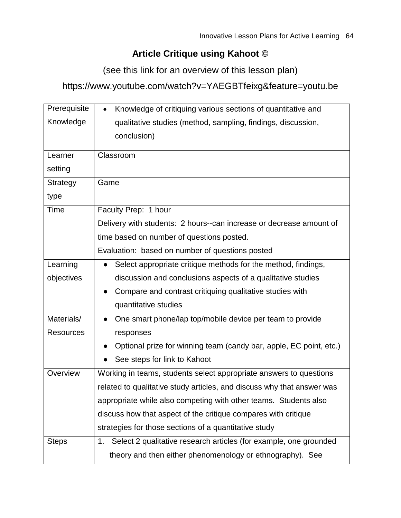## **Article Critique using Kahoot ©**

(see this link for an overview of this lesson plan)

https://www.youtube.com/watch?v=YAEGBTfeixg&feature=youtu.be

| Prerequisite     | Knowledge of critiquing various sections of quantitative and<br>$\bullet$ |
|------------------|---------------------------------------------------------------------------|
| Knowledge        | qualitative studies (method, sampling, findings, discussion,              |
|                  | conclusion)                                                               |
| Learner          | Classroom                                                                 |
|                  |                                                                           |
| setting          |                                                                           |
| Strategy         | Game                                                                      |
| type             |                                                                           |
| Time             | Faculty Prep: 1 hour                                                      |
|                  | Delivery with students: 2 hours--can increase or decrease amount of       |
|                  | time based on number of questions posted.                                 |
|                  | Evaluation: based on number of questions posted                           |
| Learning         | Select appropriate critique methods for the method, findings,             |
| objectives       | discussion and conclusions aspects of a qualitative studies               |
|                  | Compare and contrast critiquing qualitative studies with                  |
|                  | quantitative studies                                                      |
| Materials/       | One smart phone/lap top/mobile device per team to provide                 |
| <b>Resources</b> | responses                                                                 |
|                  | Optional prize for winning team (candy bar, apple, EC point, etc.)        |
|                  | See steps for link to Kahoot                                              |
| Overview         | Working in teams, students select appropriate answers to questions        |
|                  | related to qualitative study articles, and discuss why that answer was    |
|                  | appropriate while also competing with other teams. Students also          |
|                  | discuss how that aspect of the critique compares with critique            |
|                  | strategies for those sections of a quantitative study                     |
| <b>Steps</b>     | Select 2 qualitative research articles (for example, one grounded<br>1.   |
|                  | theory and then either phenomenology or ethnography). See                 |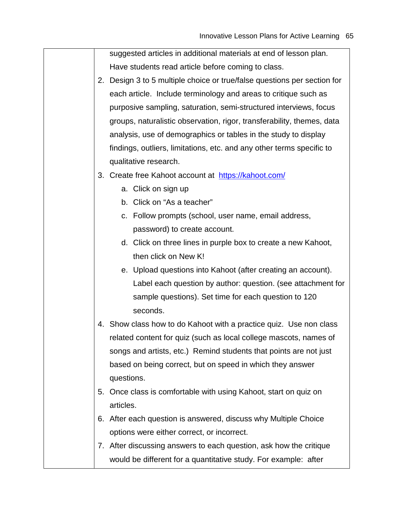suggested articles in additional materials at end of lesson plan. Have students read article before coming to class.

- 2. Design 3 to 5 multiple choice or true/false questions per section for each article. Include terminology and areas to critique such as purposive sampling, saturation, semi-structured interviews, focus groups, naturalistic observation, rigor, transferability, themes, data analysis, use of demographics or tables in the study to display findings, outliers, limitations, etc. and any other terms specific to qualitative research.
- 3. Create free Kahoot account at <https://kahoot.com/>
	- a. Click on sign up
	- b. Click on "As a teacher"
	- c. Follow prompts (school, user name, email address, password) to create account.
	- d. Click on three lines in purple box to create a new Kahoot, then click on New K!
	- e. Upload questions into Kahoot (after creating an account). Label each question by author: question. (see attachment for sample questions). Set time for each question to 120 seconds.
- 4. Show class how to do Kahoot with a practice quiz. Use non class related content for quiz (such as local college mascots, names of songs and artists, etc.) Remind students that points are not just based on being correct, but on speed in which they answer questions.
- 5. Once class is comfortable with using Kahoot, start on quiz on articles.
- 6. After each question is answered, discuss why Multiple Choice options were either correct, or incorrect.
- 7. After discussing answers to each question, ask how the critique would be different for a quantitative study. For example: after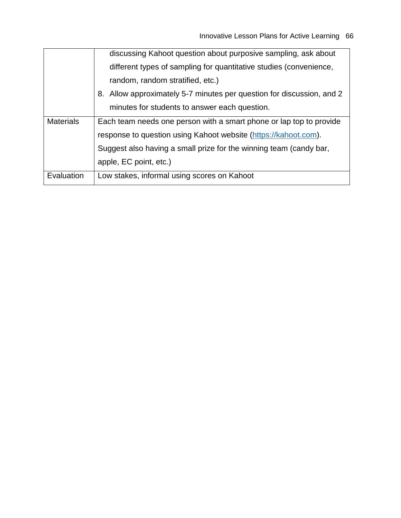|                  | discussing Kahoot question about purposive sampling, ask about        |
|------------------|-----------------------------------------------------------------------|
|                  | different types of sampling for quantitative studies (convenience,    |
|                  | random, random stratified, etc.)                                      |
|                  | 8. Allow approximately 5-7 minutes per question for discussion, and 2 |
|                  | minutes for students to answer each question.                         |
| <b>Materials</b> | Each team needs one person with a smart phone or lap top to provide   |
|                  | response to question using Kahoot website (https://kahoot.com).       |
|                  | Suggest also having a small prize for the winning team (candy bar,    |
|                  | apple, EC point, etc.)                                                |
| Evaluation       | Low stakes, informal using scores on Kahoot                           |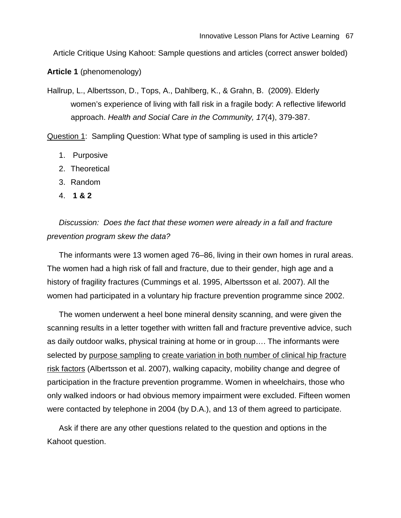Article Critique Using Kahoot: Sample questions and articles (correct answer bolded)

**Article 1** (phenomenology)

Hallrup, L., Albertsson, D., Tops, A., Dahlberg, K., & Grahn, B. (2009). Elderly women's experience of living with fall risk in a fragile body: A reflective lifeworld approach. *Health and Social Care in the Community, 17*(4), 379-387.

Question 1: Sampling Question: What type of sampling is used in this article?

- 1. Purposive
- 2. Theoretical
- 3. Random
- 4. **1 & 2**

*Discussion: Does the fact that these women were already in a fall and fracture prevention program skew the data?*

The informants were 13 women aged 76–86, living in their own homes in rural areas. The women had a high risk of fall and fracture, due to their gender, high age and a history of fragility fractures (Cummings et al. 1995, Albertsson et al. 2007). All the women had participated in a voluntary hip fracture prevention programme since 2002.

The women underwent a heel bone mineral density scanning, and were given the scanning results in a letter together with written fall and fracture preventive advice, such as daily outdoor walks, physical training at home or in group…. The informants were selected by purpose sampling to create variation in both number of clinical hip fracture risk factors (Albertsson et al. 2007), walking capacity, mobility change and degree of participation in the fracture prevention programme. Women in wheelchairs, those who only walked indoors or had obvious memory impairment were excluded. Fifteen women were contacted by telephone in 2004 (by D.A.), and 13 of them agreed to participate.

Ask if there are any other questions related to the question and options in the Kahoot question.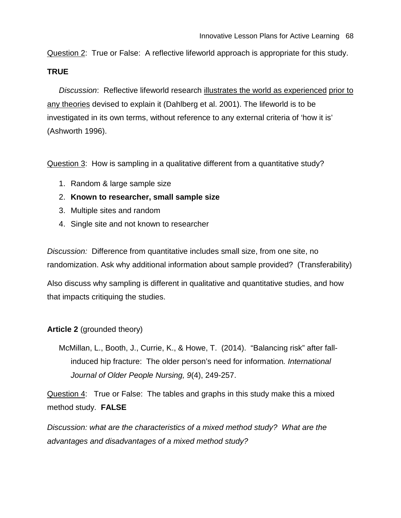Question 2: True or False: A reflective lifeworld approach is appropriate for this study.

## **TRUE**

*Discussion*: Reflective lifeworld research illustrates the world as experienced prior to any theories devised to explain it (Dahlberg et al. 2001). The lifeworld is to be investigated in its own terms, without reference to any external criteria of 'how it is' (Ashworth 1996).

Question 3: How is sampling in a qualitative different from a quantitative study?

- 1. Random & large sample size
- 2. **Known to researcher, small sample size**
- 3. Multiple sites and random
- 4. Single site and not known to researcher

*Discussion:* Difference from quantitative includes small size, from one site, no randomization. Ask why additional information about sample provided? (Transferability)

Also discuss why sampling is different in qualitative and quantitative studies, and how that impacts critiquing the studies.

## **Article 2** (grounded theory)

McMillan, L., Booth, J., Currie, K., & Howe, T. (2014). "Balancing risk" after fallinduced hip fracture: The older person's need for information*. International Journal of Older People Nursing, 9*(4), 249-257.

Question 4: True or False: The tables and graphs in this study make this a mixed method study. **FALSE** 

*Discussion: what are the characteristics of a mixed method study? What are the advantages and disadvantages of a mixed method study?*